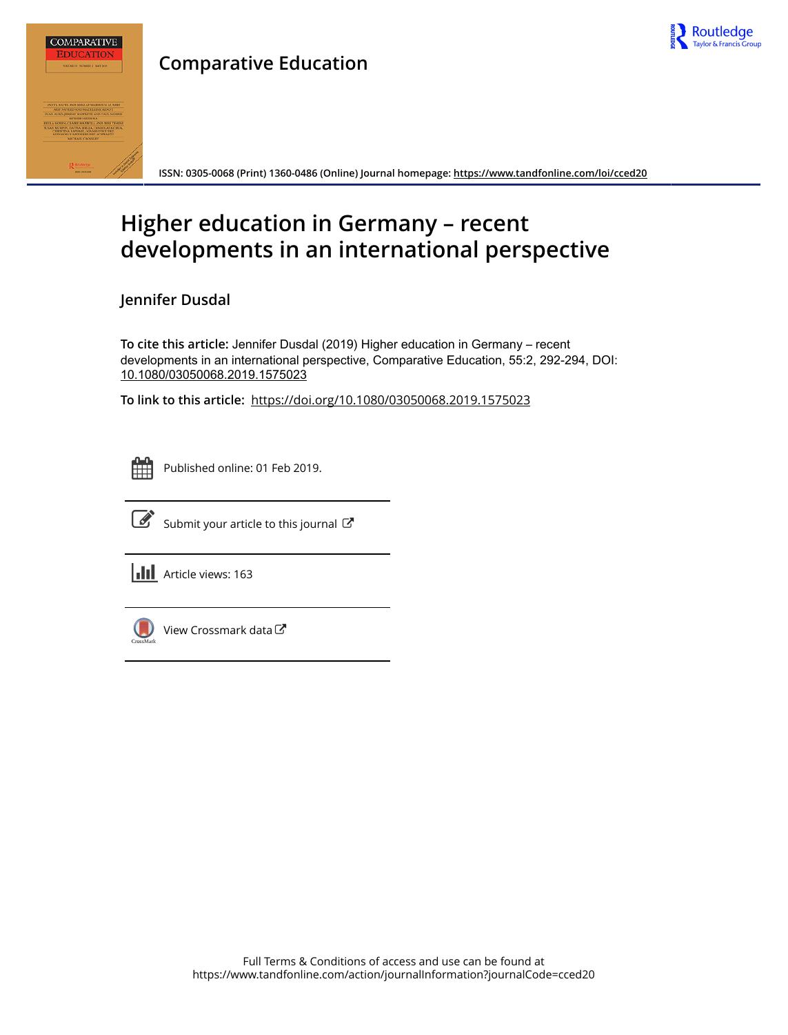

## **Comparative Education**



**ISSN: 0305-0068 (Print) 1360-0486 (Online) Journal homepage:<https://www.tandfonline.com/loi/cced20>**

## **Higher education in Germany – recent developments in an international perspective**

**Jennifer Dusdal**

**To cite this article:** Jennifer Dusdal (2019) Higher education in Germany – recent developments in an international perspective, Comparative Education, 55:2, 292-294, DOI: [10.1080/03050068.2019.1575023](https://www.tandfonline.com/action/showCitFormats?doi=10.1080/03050068.2019.1575023)

**To link to this article:** <https://doi.org/10.1080/03050068.2019.1575023>

|  | - |  |
|--|---|--|
|  |   |  |
|  |   |  |
|  |   |  |

Published online: 01 Feb 2019.



 $\overrightarrow{S}$  [Submit your article to this journal](https://www.tandfonline.com/action/authorSubmission?journalCode=cced20&show=instructions)  $G$ 

**III** Article views: 163



[View Crossmark data](http://crossmark.crossref.org/dialog/?doi=10.1080/03050068.2019.1575023&domain=pdf&date_stamp=2019-02-01)  $\sigma$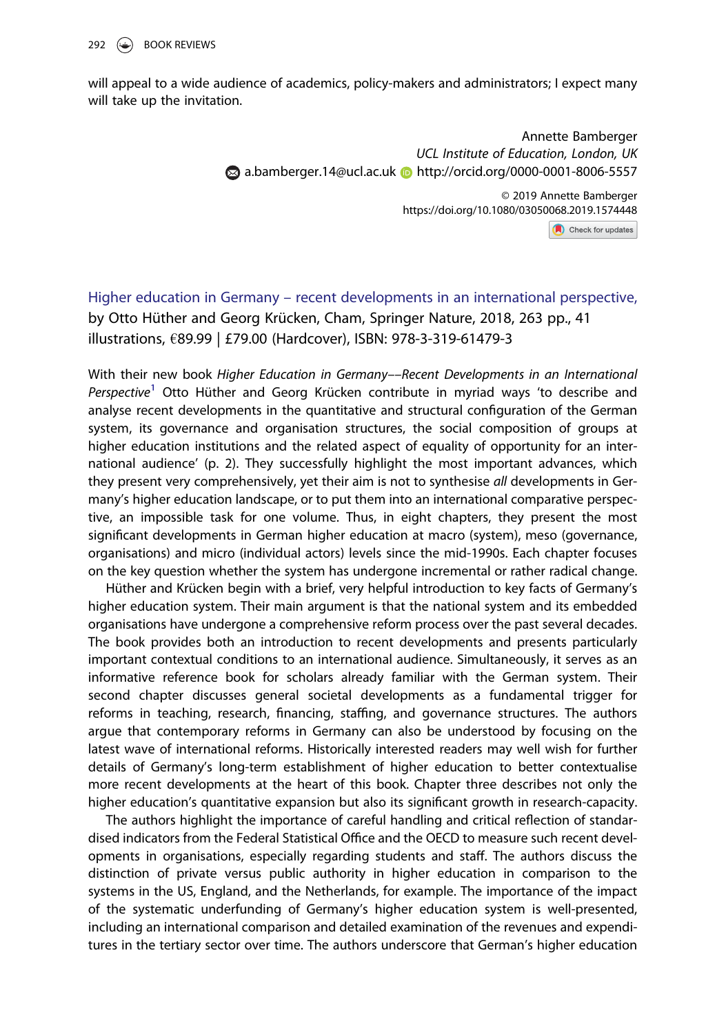will appeal to a wide audience of academics, policy-makers and administrators; I expect many will take up the invitation.

> Annette Bamberger UCL Institute of Education, London, UK  $\odot$  [a.bamberger.14@ucl.ac.uk](mailto:a.bamberger.14@ucl.ac.uk)  $\odot$  <http://orcid.org/0000-0001-8006-5557>

> > © 2019 Annette Bamberger https://doi.org/10.1080/03050068.2019.1574448

Check for updates

Higher education in Germany – recent developments in an international perspective, by Otto Hüther and Georg Krücken, Cham, Springer Nature, 2018, 263 pp., 41 illustrations, €89.99 | £79.00 (Hardcover), ISBN: 978-3-319-61479-3

With their new book Higher Education in Germany––Recent Developments in an International Perspective<sup>1</sup> Otto Hüther and Georg Krücken contribute in myriad ways 'to describe and analyse recent developments in the quantitative and structural configuration of the German system, its governance and organisation structures, the social composition of groups at higher education institutions and the related aspect of equality of opportunity for an international audience' (p. 2). They successfully highlight the most important advances, which they present very comprehensively, yet their aim is not to synthesise all developments in Germany's higher education landscape, or to put them into an international comparative perspective, an impossible task for one volume. Thus, in eight chapters, they present the most significant developments in German higher education at macro (system), meso (governance, organisations) and micro (individual actors) levels since the mid-1990s. Each chapter focuses on the key question whether the system has undergone incremental or rather radical change.

Hüther and Krücken begin with a brief, very helpful introduction to key facts of Germany's higher education system. Their main argument is that the national system and its embedded organisations have undergone a comprehensive reform process over the past several decades. The book provides both an introduction to recent developments and presents particularly important contextual conditions to an international audience. Simultaneously, it serves as an informative reference book for scholars already familiar with the German system. Their second chapter discusses general societal developments as a fundamental trigger for reforms in teaching, research, financing, staffing, and governance structures. The authors argue that contemporary reforms in Germany can also be understood by focusing on the latest wave of international reforms. Historically interested readers may well wish for further details of Germany's long-term establishment of higher education to better contextualise more recent developments at the heart of this book. Chapter three describes not only the higher education's quantitative expansion but also its significant growth in research-capacity.

The authors highlight the importance of careful handling and critical reflection of standardised indicators from the Federal Statistical Office and the OECD to measure such recent developments in organisations, especially regarding students and staff. The authors discuss the distinction of private versus public authority in higher education in comparison to the systems in the US, England, and the Netherlands, for example. The importance of the impact of the systematic underfunding of Germany's higher education system is well-presented, including an international comparison and detailed examination of the revenues and expenditures in the tertiary sector over time. The authors underscore that German's higher education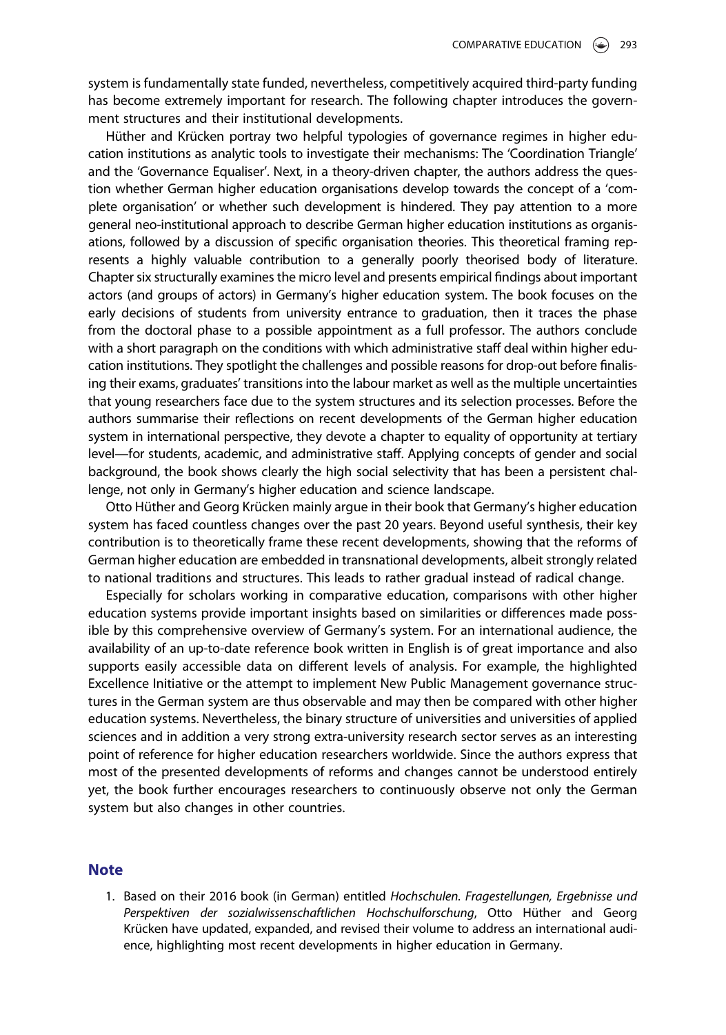system is fundamentally state funded, nevertheless, competitively acquired third-party funding has become extremely important for research. The following chapter introduces the government structures and their institutional developments.

Hüther and Krücken portray two helpful typologies of governance regimes in higher education institutions as analytic tools to investigate their mechanisms: The 'Coordination Triangle' and the 'Governance Equaliser'. Next, in a theory-driven chapter, the authors address the question whether German higher education organisations develop towards the concept of a 'complete organisation' or whether such development is hindered. They pay attention to a more general neo-institutional approach to describe German higher education institutions as organisations, followed by a discussion of specific organisation theories. This theoretical framing represents a highly valuable contribution to a generally poorly theorised body of literature. Chapter six structurally examines the micro level and presents empirical findings about important actors (and groups of actors) in Germany's higher education system. The book focuses on the early decisions of students from university entrance to graduation, then it traces the phase from the doctoral phase to a possible appointment as a full professor. The authors conclude with a short paragraph on the conditions with which administrative staff deal within higher education institutions. They spotlight the challenges and possible reasons for drop-out before finalising their exams, graduates' transitions into the labour market as well as the multiple uncertainties that young researchers face due to the system structures and its selection processes. Before the authors summarise their reflections on recent developments of the German higher education system in international perspective, they devote a chapter to equality of opportunity at tertiary level—for students, academic, and administrative staff. Applying concepts of gender and social background, the book shows clearly the high social selectivity that has been a persistent challenge, not only in Germany's higher education and science landscape.

Otto Hüther and Georg Krücken mainly argue in their book that Germany's higher education system has faced countless changes over the past 20 years. Beyond useful synthesis, their key contribution is to theoretically frame these recent developments, showing that the reforms of German higher education are embedded in transnational developments, albeit strongly related to national traditions and structures. This leads to rather gradual instead of radical change.

Especially for scholars working in comparative education, comparisons with other higher education systems provide important insights based on similarities or differences made possible by this comprehensive overview of Germany's system. For an international audience, the availability of an up-to-date reference book written in English is of great importance and also supports easily accessible data on different levels of analysis. For example, the highlighted Excellence Initiative or the attempt to implement New Public Management governance structures in the German system are thus observable and may then be compared with other higher education systems. Nevertheless, the binary structure of universities and universities of applied sciences and in addition a very strong extra-university research sector serves as an interesting point of reference for higher education researchers worldwide. Since the authors express that most of the presented developments of reforms and changes cannot be understood entirely yet, the book further encourages researchers to continuously observe not only the German system but also changes in other countries.

## **Note**

1. Based on their 2016 book (in German) entitled Hochschulen. Fragestellungen, Ergebnisse und Perspektiven der sozialwissenschaftlichen Hochschulforschung, Otto Hüther and Georg Krücken have updated, expanded, and revised their volume to address an international audience, highlighting most recent developments in higher education in Germany.